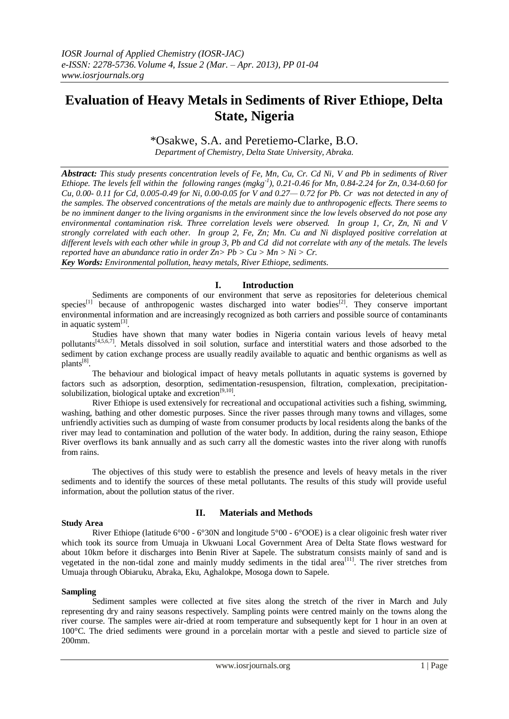# **Evaluation of Heavy Metals in Sediments of River Ethiope, Delta State, Nigeria**

# \*Osakwe, S.A. and Peretiemo-Clarke, B.O.

*Department of Chemistry, Delta State University, Abraka.*

*Abstract: This study presents concentration levels of Fe, Mn, Cu, Cr. Cd Ni, V and Pb in sediments of River Ethiope. The levels fell within the following ranges (mgkg-1 ), 0.21-0.46 for Mn, 0.84-2.24 for Zn, 0.34-0.60 for Cu, 0.00- 0.11 for Cd, 0.005-0.49 for Ni, 0.00-0.05 for V and 0.27— 0.72 for Pb. Cr was not detected in any of the samples. The observed concentrations of the metals are mainly due to anthropogenic effects. There seems to be no imminent danger to the living organisms in the environment since the low levels observed do not pose any environmental contamination risk. Three correlation levels were observed. In group 1, Cr, Zn, Ni and V strongly correlated with each other. In group 2, Fe, Zn; Mn. Cu and Ni displayed positive correlation at different levels with each other while in group 3, Pb and Cd did not correlate with any of the metals. The levels reported have an abundance ratio in order Zn> Pb > Cu > Mn > Ni > Cr.*

*Key Words: Environmental pollution, heavy metals, River Ethiope, sediments.*

### **I. Introduction**

Sediments are components of our environment that serve as repositories for deleterious chemical species<sup>[1]</sup> because of anthropogenic wastes discharged into water bodies<sup>[2]</sup>. They conserve important environmental information and are increasingly recognized as both carriers and possible source of contaminants in aquatic system<sup>[3]</sup>.

Studies have shown that many water bodies in Nigeria contain various levels of heavy metal pollutants<sup>[4,5,6,7]</sup>. Metals dissolved in soil solution, surface and interstitial waters and those adsorbed to the sediment by cation exchange process are usually readily available to aquatic and benthic organisms as well as plants<sup>[8]</sup>.

The behaviour and biological impact of heavy metals pollutants in aquatic systems is governed by factors such as adsorption, desorption, sedimentation-resuspension, filtration, complexation, precipitationsolubilization, biological uptake and excretion $[9,10]$ .

River Ethiope is used extensively for recreational and occupational activities such a fishing, swimming, washing, bathing and other domestic purposes. Since the river passes through many towns and villages, some unfriendly activities such as dumping of waste from consumer products by local residents along the banks of the river may lead to contamination and pollution of the water body. In addition, during the rainy season, Ethiope River overflows its bank annually and as such carry all the domestic wastes into the river along with runoffs from rains.

The objectives of this study were to establish the presence and levels of heavy metals in the river sediments and to identify the sources of these metal pollutants. The results of this study will provide useful information, about the pollution status of the river.

#### **Study Area**

## **II. Materials and Methods**

River Ethiope (latitude 6°00 - 6°30N and longitude 5°00 - 6°OOE) is a clear oligoinic fresh water river which took its source from Umuaja in Ukwuani Local Government Area of Delta State flows westward for about 10km before it discharges into Benin River at Sapele. The substratum consists mainly of sand and is vegetated in the non-tidal zone and mainly muddy sediments in the tidal area<sup>[11]</sup>. The river stretches from Umuaja through Obiaruku, Abraka, Eku, Aghalokpe, Mosoga down to Sapele.

#### **Sampling**

Sediment samples were collected at five sites along the stretch of the river in March and July representing dry and rainy seasons respectively. Sampling points were centred mainly on the towns along the river course. The samples were air-dried at room temperature and subsequently kept for 1 hour in an oven at 100°C. The dried sediments were ground in a porcelain mortar with a pestle and sieved to particle size of 200mm.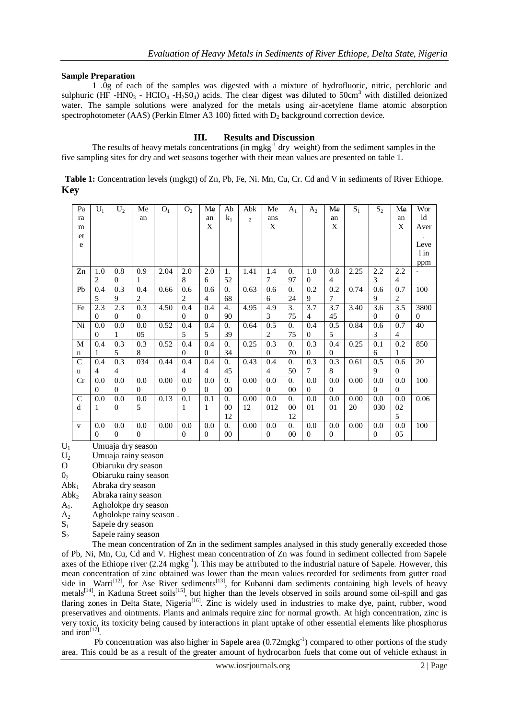#### **Sample Preparation**

1 .0g of each of the samples was digested with a mixture of hydrofluoric, nitric, perchloric and sulphuric (HF -HN0<sub>3</sub> - HCIO<sub>4</sub> -H<sub>2</sub>SO<sub>4</sub>) acids. The clear digest was diluted to 50cm<sup>3</sup> with distilled deionized water. The sample solutions were analyzed for the metals using air-acetylene flame atomic absorption spectrophotometer (AAS) (Perkin Elmer A3 100) fitted with  $D_2$  background correction device.

# **III. Results and Discussion**

The results of heavy metals concentrations (in mgkg<sup>-1</sup> dry weight) from the sediment samples in the five sampling sites for dry and wet seasons together with their mean values are presented on table 1.

| Table 1: Concentration levels (mgkgt) of Zn, Pb, Fe, Ni. Mn, Cu, Cr. Cd and V in sediments of River Ethiope. |  |  |  |
|--------------------------------------------------------------------------------------------------------------|--|--|--|
| <b>Key</b>                                                                                                   |  |  |  |

| Pa           | $U_1$          | $U_2$          | Me             | O <sub>1</sub> | O <sub>2</sub> | Me             | Ab               | Abk            | Me             | $A_1$            | $A_2$          | Me             | $S_1$ | $S_2$        | Me             | Wor      |
|--------------|----------------|----------------|----------------|----------------|----------------|----------------|------------------|----------------|----------------|------------------|----------------|----------------|-------|--------------|----------------|----------|
| ra           |                |                | an             |                |                | an             | k <sub>1</sub>   | $\overline{c}$ | ans            |                  |                | an             |       |              | an             | ld       |
| m            |                |                |                |                |                | X              |                  |                | X              |                  |                | X              |       |              | X              | Aver     |
| et           |                |                |                |                |                |                |                  |                |                |                  |                |                |       |              |                |          |
| ${\bf e}$    |                |                |                |                |                |                |                  |                |                |                  |                |                |       |              |                | Leve     |
|              |                |                |                |                |                |                |                  |                |                |                  |                |                |       |              |                | $1$ in   |
|              |                |                |                |                |                |                |                  |                |                |                  |                |                |       |              |                | ppm      |
| Zn           | 1.0            | 0.8            | 0.9            | 2.04           | 2.0            | 2.0            | 1.               | 1.41           | 1.4            | $\overline{0}$ . | 1.0            | 0.8            | 2.25  | 2.2          | 2.2            |          |
|              | 2              | $\theta$       |                |                | 8              | 6              | 52               |                | 7              | 97               | $\theta$       | 4              |       | 3            | $\overline{4}$ |          |
| Pb           | 0.4            | 0.3            | 0.4            | 0.66           | 0.6            | 0.6            | 0.               | 0.63           | 0.6            | 0.               | 0.2            | 0.2            | 0.74  | 0.6          | 0.7            | 100      |
|              | 5              | 9              | 2              |                | 2              | $\overline{4}$ | 68               |                | 6              | 24               | 9              | 7              |       | 9            | $\overline{2}$ |          |
| Fe           | 2.3            | 2.3            | 0.3            | 4.50           | 0.4            | 0.4            | 4.               | 4.95           | 4.9            | 3.               | 3.7            | 3.7            | 3.40  | 3.6          | 3.5            | 3800     |
|              | $\Omega$       | $\Omega$       | $\Omega$       |                | $\overline{0}$ | $\Omega$       | 90               |                | 3              | 75               | 4              | 45             |       | $\mathbf{0}$ | $\Omega$       | $\Omega$ |
| Ni           | 0.0            | 0.0            | 0.0            | 0.52           | 0.4            | 0.4            | 0.               | 0.64           | 0.5            | $\theta$ .       | 0.4            | 0.5            | 0.84  | 0.6          | 0.7            | 40       |
|              | $\mathbf{0}$   | 1              | 05             |                | 5              | 5              | 39               |                | 2              | 75               | $\Omega$       | 5              |       | 3            | $\overline{4}$ |          |
| M            | 0.4            | 0.3            | 0.3            | 0.52           | 0.4            | 0.4            | $\theta$ .       | 0.25           | 0.3            | $\overline{0}$ . | 0.3            | 0.4            | 0.25  | 0.1          | 0.2            | 850      |
| n            | 1              | 5              | 8              |                | $\overline{0}$ | $\mathbf{0}$   | 34               |                | $\Omega$       | 70               | $\theta$       | $\overline{0}$ |       | 6            | 1              |          |
| $\mathsf{C}$ | 0.4            | 0.3            | 034            | 0.44           | 0.4            | 0.4            | $\overline{0}$ . | 0.43           | 0.4            | $\overline{0}$ . | 0.3            | 0.3            | 0.61  | 0.5          | 0.6            | 20       |
| u            | $\overline{4}$ | 4              |                |                | 4              | 4              | 45               |                | $\overline{4}$ | 50               | 7              | 8              |       | 9            | $\Omega$       |          |
| Cr           | 0.0            | 0.0            | 0.0            | 0.00           | 0.0            | 0.0            | 0.               | 0.00           | 0.0            | $\overline{0}$ . | 0.0            | 0.0            | 0.00  | 0.0          | 0.0            | 100      |
|              | $\theta$       | $\Omega$       | $\Omega$       |                | $\overline{0}$ | $\theta$       | 00               |                | $\Omega$       | 00               | $\overline{0}$ | $\Omega$       |       | $\theta$     | $\theta$       |          |
| $\mathsf{C}$ | 0.0            | 0.0            | 0.0            | 0.13           | 0.1            | 0.1            | $\overline{0}$ . | 0.00           | 0.0            | $\overline{0}$ . | 0.0            | 0.0            | 0.00  | 0.0          | 0.0            | 0.06     |
| d            | 1              | $\overline{0}$ | 5              |                | 1              | 1              | 00               | 12             | 012            | 00               | 01             | 01             | 20    | 030          | 02             |          |
|              |                |                |                |                |                |                | 12               |                |                | 12               |                |                |       |              | 5              |          |
| V            | 0.0            | 0.0            | 0.0            | 0.00           | 0.0            | 0.0            | 0.               | 0.00           | 0.0            | 0.               | 0.0            | 0.0            | 0.00  | 0.0          | 0.0            | 100      |
|              | $\mathbf{0}$   | $\theta$       | $\overline{0}$ |                | $\overline{0}$ | $\mathbf{0}$   | 00               |                | $\theta$       | 00               | $\overline{0}$ | $\overline{0}$ |       | $\theta$     | 05             |          |

 $U_1$  Umuaja dry season<br>U<sub>2</sub> Umuaja rainy seaso

Umuaja rainy season

O Obiaruku dry season

 $0_2$  Obiaruku rainy season<br>Abk<sub>1</sub> Abraka dry season

- Abraka dry season
- $Abk<sub>2</sub>$  Abraka rainy season

A1. Agholokpe dry season

- A<sup>2</sup> Agholokpe rainy season .
- $S_1$  Sapele dry season
- S<sub>2</sub> Sapele rainy season

The mean concentration of Zn in the sediment samples analysed in this study generally exceeded those of Pb, Ni, Mn, Cu, Cd and V. Highest mean concentration of Zn was found in sediment collected from Sapele axes of the Ethiope river  $(2.24 \text{ m}g\text{kg}^{-1})$ . This may be attributed to the industrial nature of Sapele. However, this mean concentration of zinc obtained was lower than the mean values recorded for sediments from gutter road side in Warri<sup>[12]</sup>, for Ase River sediments<sup>[13]</sup>, for Kubanni dam sediments containing high levels of heavy metals<sup>[14]</sup>, in Kaduna Street soils<sup>[15]</sup>, but higher than the levels observed in soils around some oil-spill and gas flaring zones in Delta State, Nigeria<sup>[16]</sup>. Zinc is widely used in industries to make dye, paint, rubber, wood preservatives and ointments. Plants and animals require zinc for normal growth. At high concentration, zinc is very toxic, its toxicity being caused by interactions in plant uptake of other essential elements like phosphorus and iron<sup> $[17]$ </sup>.

Pb concentration was also higher in Sapele area  $(0.72 \text{mgkg}^{-1})$  compared to other portions of the study area. This could be as a result of the greater amount of hydrocarbon fuels that come out of vehicle exhaust in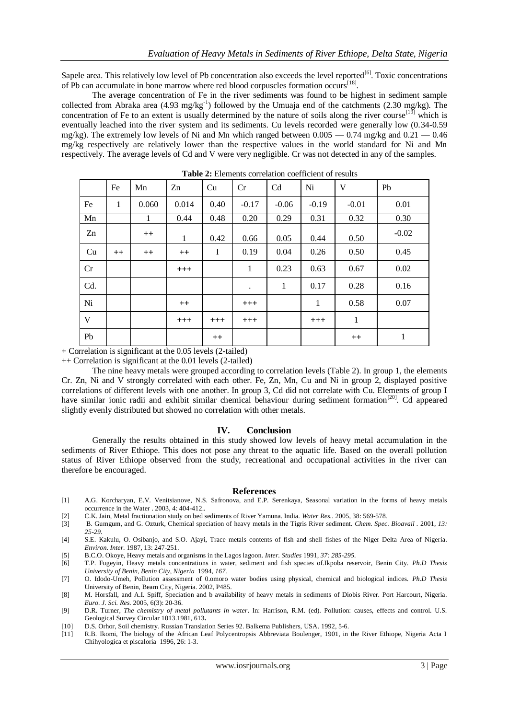Sapele area. This relatively low level of Pb concentration also exceeds the level reported<sup>[6]</sup>. Toxic concentrations of Pb can accumulate in bone marrow where red blood corpuscles formation occurs<sup>[18]</sup>.

The average concentration of Fe in the river sediments was found to be highest in sediment sample collected from Abraka area (4.93 mg/kg<sup>-1</sup>) followed by the Umuaja end of the catchments (2.30 mg/kg). The concentration of Fe to an extent is usually determined by the nature of soils along the river course<sup>[19]</sup> which is eventually leached into the river system and its sediments. Cu levels recorded were generally low (0.34-0.59 mg/kg). The extremely low levels of Ni and Mn which ranged between  $0.005 - 0.74$  mg/kg and  $0.21 - 0.46$ mg/kg respectively are relatively lower than the respective values in the world standard for Ni and Mn respectively. The average levels of Cd and V were very negligible. Cr was not detected in any of the samples.

|     | Fe           | Mn           | Zn      | Cu          | Cr        | Cd      | Ni           | V       | Pb      |
|-----|--------------|--------------|---------|-------------|-----------|---------|--------------|---------|---------|
| Fe  | $\mathbf{1}$ | 0.060        | 0.014   | 0.40        | $-0.17$   | $-0.06$ | $-0.19$      | $-0.01$ | 0.01    |
| Mn  |              | $\mathbf{1}$ | 0.44    | 0.48        | 0.20      | 0.29    | 0.31         | 0.32    | 0.30    |
| Zn  |              | $^{++}$      | 1       | 0.42        | 0.66      | 0.05    | 0.44         | 0.50    | $-0.02$ |
| Cu  | $++$         | $^{++}$      | $^{++}$ | $\mathbf I$ | 0.19      | 0.04    | 0.26         | 0.50    | 0.45    |
| Cr  |              |              | $+++$   |             | 1         | 0.23    | 0.63         | 0.67    | 0.02    |
| Cd. |              |              |         |             | $\bullet$ | 1       | 0.17         | 0.28    | 0.16    |
| Ni  |              |              | $^{++}$ |             | $^{+++}$  |         | $\mathbf{1}$ | 0.58    | 0.07    |
| V   |              |              | $+++$   | $^{+++}$    | $+++$     |         | $+++$        | 1       |         |
| Pb  |              |              |         | $^{++}$     |           |         |              | $^{++}$ | 1       |

**Table 2:** Elements correlation coefficient of results

+ Correlation is significant at the 0.05 levels (2-tailed)

++ Correlation is significant at the 0.01 levels (2-tailed)

The nine heavy metals were grouped according to correlation levels (Table 2). In group 1, the elements Cr. Zn, Ni and V strongly correlated with each other. Fe, Zn, Mn, Cu and Ni in group 2, displayed positive correlations of different levels with one another. In group 3, Cd did not correlate with Cu. Elements of group I have similar ionic radii and exhibit similar chemical behaviour during sediment formation<sup>[20]</sup>. Cd appeared slightly evenly distributed but showed no correlation with other metals.

#### **IV. Conclusion**

Generally the results obtained in this study showed low levels of heavy metal accumulation in the sediments of River Ethiope. This does not pose any threat to the aquatic life. Based on the overall pollution status of River Ethiope observed from the study, recreational and occupational activities in the river can therefore be encouraged.

#### **References**

- [1] A.G. Korcharyan, E.V. Venitsianove, N.S. Safronova, and E.P. Serenkaya, Seasonal variation in the forms of heavy metals occurrence in the Water . 2003, 4: 404-412.*.*
- [2] C.K. Jain, Metal fractionation study on bed sediments of River Yamuna. India. *Water Res.*. 2005, 38: 569-578.
- [3] B. Gumgum, and G. Ozturk, Chemical speciation of heavy metals in the Tigris River sediment. *Chem. Spec. Bioavail .* 2001, *13: 25-29.*
- [4] S.E. Kakulu, O. Osibanjo, and S.O. Ajayi, Trace metals contents of fish and shell fishes of the Niger Delta Area of Nigeria. *Environ. Inter.* 1987, 13: 247-251.
- [5] B.C.O. Okoye, Heavy metals and organisms in the Lagos lagoon. *Inter. Studies* 1991, *37: 285-295.*
- [6] T.P. Fugeyin, Heavy metals concentrations in water, sediment and fish species of.Ikpoba reservoir, Benin City. *Ph.D Thesis University of Benin, Benin City, Nigeria* 1994, *167.*
- [7] O. Idodo-Umeh, Pollution assessment of 0.omoro water bodies using physical, chemical and biological indices. *Ph.D Thesis* University of Benin, Beam City, Nigeria. 2002, P485.
- [8] M. Horsfall, and A.I. Spiff, Speciation and b availability of heavy metals in sediments of Diobis River. Port Harcourt, Nigeria. *Euro. J. Sci. Res.* 2005, 6(3): 20-36*.*
- [9] D.R. Turner, *The chemistry of metal pollutants in water*. In: Harrison, R.M. (ed). Pollution: causes, effects and control. U.S. Geological Survey Circular 1013.1981, 613**.**
- [10] D.S. Orhor, Soil chemistry. Russian Translation Series 92. Balkema Publishers, USA. 1992, 5-6.
- [11] R.B. Ikomi, The biology of the African Leaf Polycentropsis Abbreviata Boulenger, 1901, in the River Ethiope, Nigeria Acta I Chihyologica et piscaloria 1996, 26: 1-3.